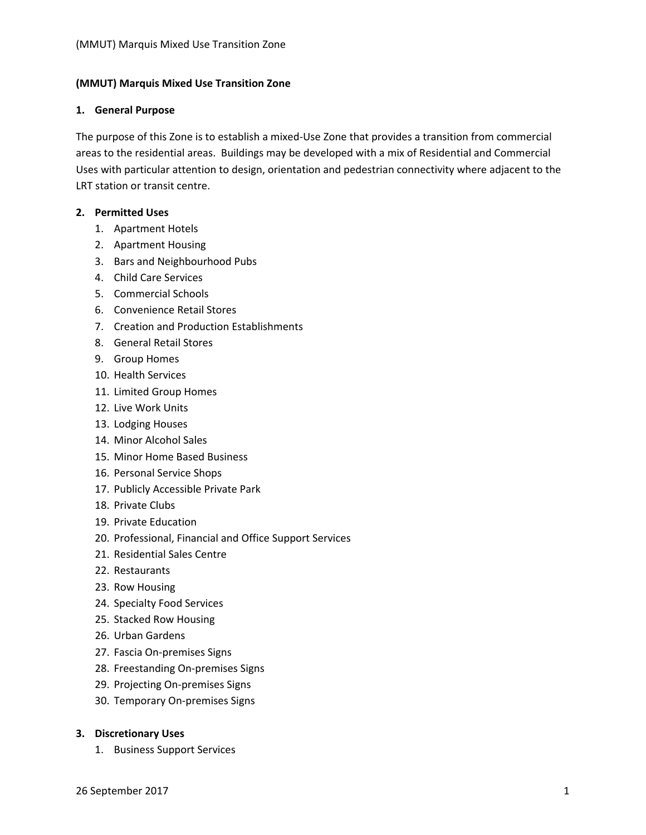### **(MMUT) Marquis Mixed Use Transition Zone**

#### **1. General Purpose**

The purpose of this Zone is to establish a mixed‐Use Zone that provides a transition from commercial areas to the residential areas. Buildings may be developed with a mix of Residential and Commercial Uses with particular attention to design, orientation and pedestrian connectivity where adjacent to the LRT station or transit centre.

## **2. Permitted Uses**

- 1. Apartment Hotels
- 2. Apartment Housing
- 3. Bars and Neighbourhood Pubs
- 4. Child Care Services
- 5. Commercial Schools
- 6. Convenience Retail Stores
- 7. Creation and Production Establishments
- 8. General Retail Stores
- 9. Group Homes
- 10. Health Services
- 11. Limited Group Homes
- 12. Live Work Units
- 13. Lodging Houses
- 14. Minor Alcohol Sales
- 15. Minor Home Based Business
- 16. Personal Service Shops
- 17. Publicly Accessible Private Park
- 18. Private Clubs
- 19. Private Education
- 20. Professional, Financial and Office Support Services
- 21. Residential Sales Centre
- 22. Restaurants
- 23. Row Housing
- 24. Specialty Food Services
- 25. Stacked Row Housing
- 26. Urban Gardens
- 27. Fascia On‐premises Signs
- 28. Freestanding On‐premises Signs
- 29. Projecting On‐premises Signs
- 30. Temporary On‐premises Signs

## **3. Discretionary Uses**

1. Business Support Services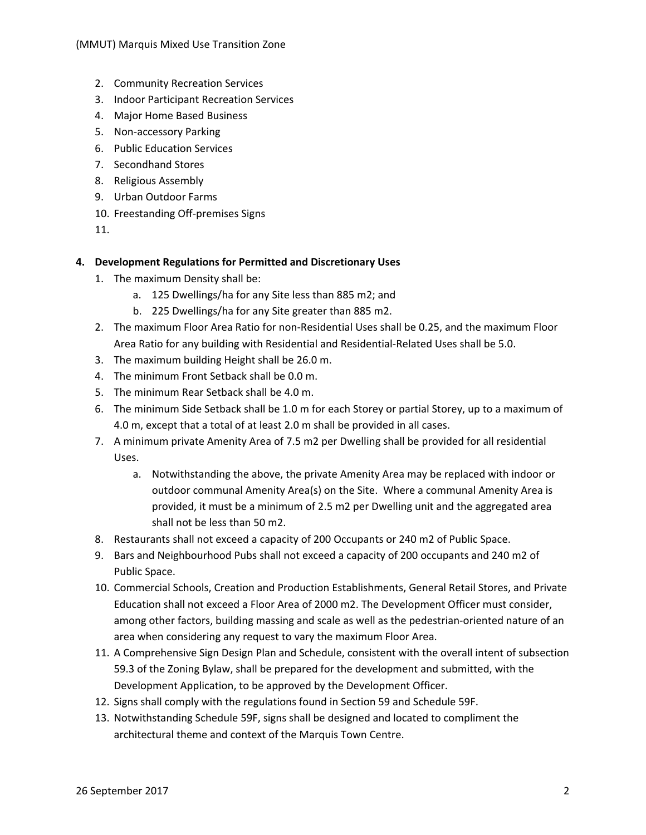- 2. Community Recreation Services
- 3. Indoor Participant Recreation Services
- 4. Major Home Based Business
- 5. Non‐accessory Parking
- 6. Public Education Services
- 7. Secondhand Stores
- 8. Religious Assembly
- 9. Urban Outdoor Farms
- 10. Freestanding Off‐premises Signs

11.

### **4. Development Regulations for Permitted and Discretionary Uses**

- 1. The maximum Density shall be:
	- a. 125 Dwellings/ha for any Site less than 885 m2; and
	- b. 225 Dwellings/ha for any Site greater than 885 m2.
- 2. The maximum Floor Area Ratio for non‐Residential Uses shall be 0.25, and the maximum Floor Area Ratio for any building with Residential and Residential‐Related Uses shall be 5.0.
- 3. The maximum building Height shall be 26.0 m.
- 4. The minimum Front Setback shall be 0.0 m.
- 5. The minimum Rear Setback shall be 4.0 m.
- 6. The minimum Side Setback shall be 1.0 m for each Storey or partial Storey, up to a maximum of 4.0 m, except that a total of at least 2.0 m shall be provided in all cases.
- 7. A minimum private Amenity Area of 7.5 m2 per Dwelling shall be provided for all residential Uses.
	- a. Notwithstanding the above, the private Amenity Area may be replaced with indoor or outdoor communal Amenity Area(s) on the Site. Where a communal Amenity Area is provided, it must be a minimum of 2.5 m2 per Dwelling unit and the aggregated area shall not be less than 50 m2.
- 8. Restaurants shall not exceed a capacity of 200 Occupants or 240 m2 of Public Space.
- 9. Bars and Neighbourhood Pubs shall not exceed a capacity of 200 occupants and 240 m2 of Public Space.
- 10. Commercial Schools, Creation and Production Establishments, General Retail Stores, and Private Education shall not exceed a Floor Area of 2000 m2. The Development Officer must consider, among other factors, building massing and scale as well as the pedestrian-oriented nature of an area when considering any request to vary the maximum Floor Area.
- 11. A Comprehensive Sign Design Plan and Schedule, consistent with the overall intent of subsection 59.3 of the Zoning Bylaw, shall be prepared for the development and submitted, with the Development Application, to be approved by the Development Officer.
- 12. Signs shall comply with the regulations found in Section 59 and Schedule 59F.
- 13. Notwithstanding Schedule 59F, signs shall be designed and located to compliment the architectural theme and context of the Marquis Town Centre.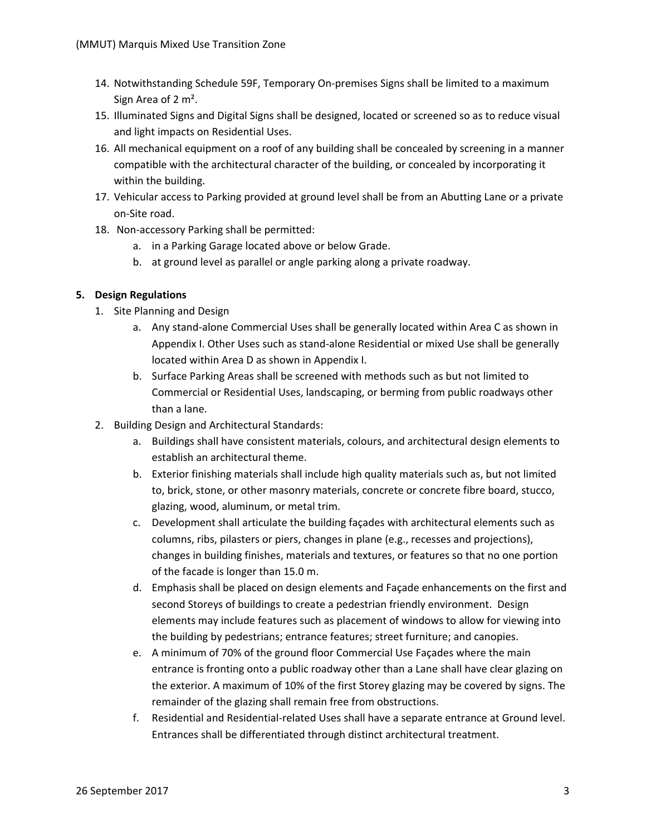- 14. Notwithstanding Schedule 59F, Temporary On‐premises Signs shall be limited to a maximum Sign Area of 2 m².
- 15. Illuminated Signs and Digital Signs shall be designed, located or screened so as to reduce visual and light impacts on Residential Uses.
- 16. All mechanical equipment on a roof of any building shall be concealed by screening in a manner compatible with the architectural character of the building, or concealed by incorporating it within the building.
- 17. Vehicular access to Parking provided at ground level shall be from an Abutting Lane or a private on‐Site road.
- 18. Non-accessory Parking shall be permitted:
	- a. in a Parking Garage located above or below Grade.
	- b. at ground level as parallel or angle parking along a private roadway.

# **5. Design Regulations**

- 1. Site Planning and Design
	- a. Any stand‐alone Commercial Uses shall be generally located within Area C as shown in Appendix I. Other Uses such as stand‐alone Residential or mixed Use shall be generally located within Area D as shown in Appendix I.
	- b. Surface Parking Areas shall be screened with methods such as but not limited to Commercial or Residential Uses, landscaping, or berming from public roadways other than a lane.
- 2. Building Design and Architectural Standards:
	- a. Buildings shall have consistent materials, colours, and architectural design elements to establish an architectural theme.
	- b. Exterior finishing materials shall include high quality materials such as, but not limited to, brick, stone, or other masonry materials, concrete or concrete fibre board, stucco, glazing, wood, aluminum, or metal trim.
	- c. Development shall articulate the building façades with architectural elements such as columns, ribs, pilasters or piers, changes in plane (e.g., recesses and projections), changes in building finishes, materials and textures, or features so that no one portion of the facade is longer than 15.0 m.
	- d. Emphasis shall be placed on design elements and Façade enhancements on the first and second Storeys of buildings to create a pedestrian friendly environment. Design elements may include features such as placement of windows to allow for viewing into the building by pedestrians; entrance features; street furniture; and canopies.
	- e. A minimum of 70% of the ground floor Commercial Use Façades where the main entrance is fronting onto a public roadway other than a Lane shall have clear glazing on the exterior. A maximum of 10% of the first Storey glazing may be covered by signs. The remainder of the glazing shall remain free from obstructions.
	- f. Residential and Residential‐related Uses shall have a separate entrance at Ground level. Entrances shall be differentiated through distinct architectural treatment.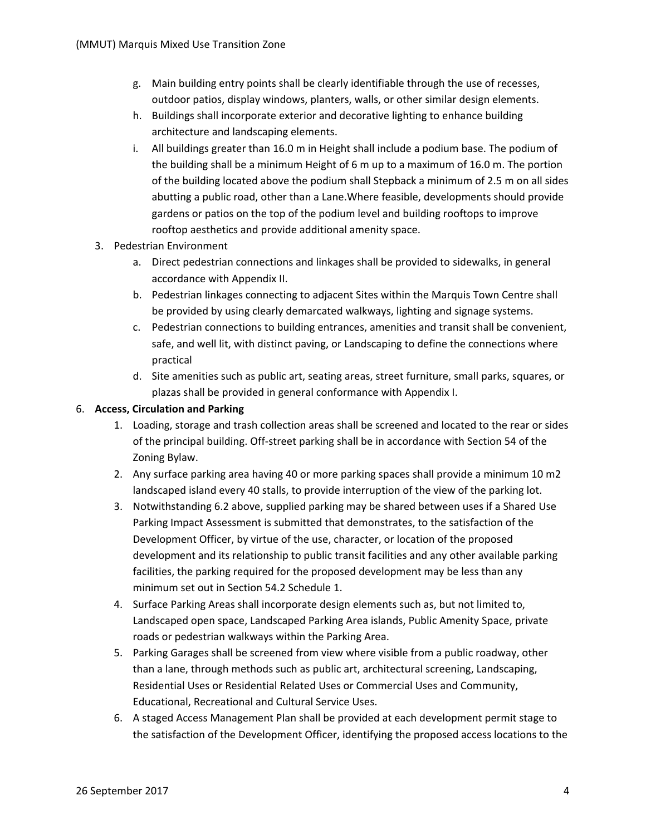- g. Main building entry points shall be clearly identifiable through the use of recesses, outdoor patios, display windows, planters, walls, or other similar design elements.
- h. Buildings shall incorporate exterior and decorative lighting to enhance building architecture and landscaping elements.
- i. All buildings greater than 16.0 m in Height shall include a podium base. The podium of the building shall be a minimum Height of 6 m up to a maximum of 16.0 m. The portion of the building located above the podium shall Stepback a minimum of 2.5 m on all sides abutting a public road, other than a Lane.Where feasible, developments should provide gardens or patios on the top of the podium level and building rooftops to improve rooftop aesthetics and provide additional amenity space.
- 3. Pedestrian Environment
	- a. Direct pedestrian connections and linkages shall be provided to sidewalks, in general accordance with Appendix II.
	- b. Pedestrian linkages connecting to adjacent Sites within the Marquis Town Centre shall be provided by using clearly demarcated walkways, lighting and signage systems.
	- c. Pedestrian connections to building entrances, amenities and transit shall be convenient, safe, and well lit, with distinct paving, or Landscaping to define the connections where practical
	- d. Site amenities such as public art, seating areas, street furniture, small parks, squares, or plazas shall be provided in general conformance with Appendix I.

# 6. **Access, Circulation and Parking**

- 1. Loading, storage and trash collection areas shall be screened and located to the rear or sides of the principal building. Off‐street parking shall be in accordance with Section 54 of the Zoning Bylaw.
- 2. Any surface parking area having 40 or more parking spaces shall provide a minimum 10 m2 landscaped island every 40 stalls, to provide interruption of the view of the parking lot.
- 3. Notwithstanding 6.2 above, supplied parking may be shared between uses if a Shared Use Parking Impact Assessment is submitted that demonstrates, to the satisfaction of the Development Officer, by virtue of the use, character, or location of the proposed development and its relationship to public transit facilities and any other available parking facilities, the parking required for the proposed development may be less than any minimum set out in Section 54.2 Schedule 1.
- 4. Surface Parking Areas shall incorporate design elements such as, but not limited to, Landscaped open space, Landscaped Parking Area islands, Public Amenity Space, private roads or pedestrian walkways within the Parking Area.
- 5. Parking Garages shall be screened from view where visible from a public roadway, other than a lane, through methods such as public art, architectural screening, Landscaping, Residential Uses or Residential Related Uses or Commercial Uses and Community, Educational, Recreational and Cultural Service Uses.
- 6. A staged Access Management Plan shall be provided at each development permit stage to the satisfaction of the Development Officer, identifying the proposed access locations to the